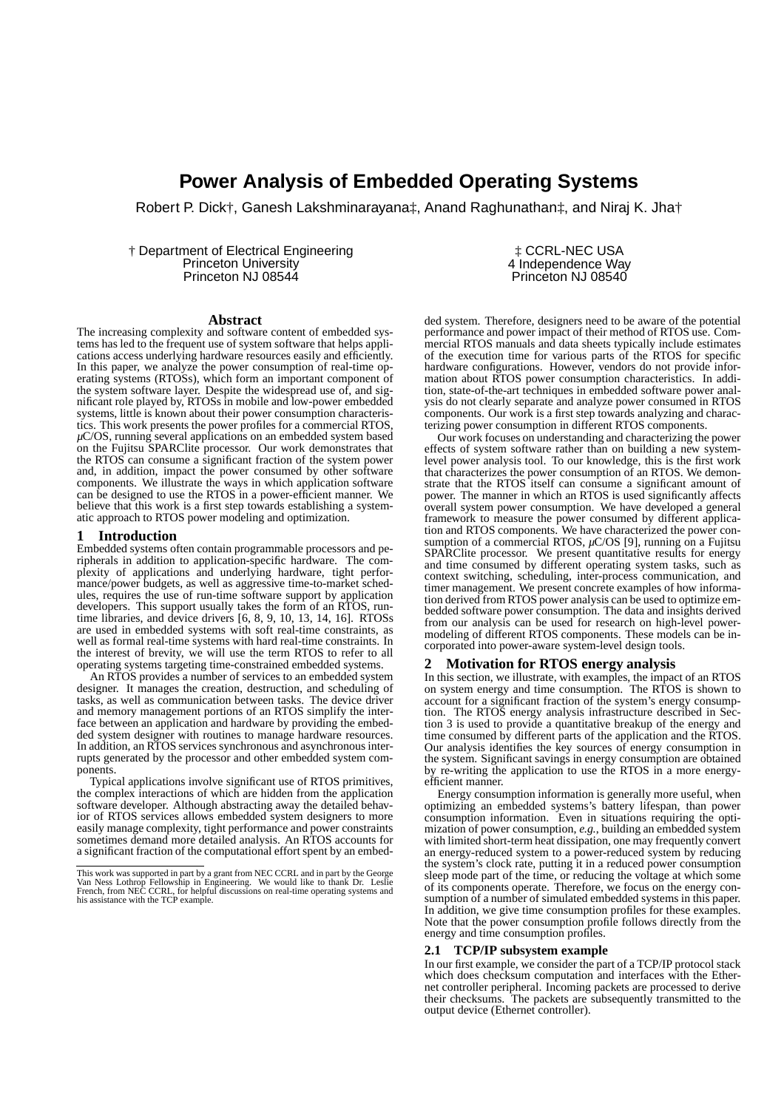# **Power Analysis of Embedded Operating Systems**

Robert P. Dick†, Ganesh Lakshminarayana‡, Anand Raghunathan‡, and Niraj K. Jha†

† Department of Electrical Engineering Princeton University Princeton NJ 08544

‡ CCRL-NEC USA 4 Independence Way Princeton NJ 08540

## **Abstract**

The increasing complexity and software content of embedded systems has led to the frequent use of system software that helps applications access underlying hardware resources easily and efficiently. In this paper, we analyze the power consumption of real-time operating systems (RTOSs), which form an important component of the system software layer. Despite the widespread use of, and significant role played by, RTOSs in mobile and low-power embedded systems, little is known about their power consumption characteristics. This work presents the power profiles for a commercial RTOS, *µ*C/OS, running several applications on an embedded system based on the Fujitsu SPARClite processor. Our work demonstrates that the RTOS can consume a significant fraction of the system power and, in addition, impact the power consumed by other software components. We illustrate the ways in which application software can be designed to use the RTOS in a power-efficient manner. We believe that this work is a first step towards establishing a systematic approach to RTOS power modeling and optimization.

#### **1 Introduction**

Embedded systems often contain programmable processors and peripherals in addition to application-specific hardware. The complexity of applications and underlying hardware, tight performance/power budgets, as well as aggressive time-to-market schedules, requires the use of run-time software support by application developers. This support usually takes the form of an RTOS, runtime libraries, and device drivers [6, 8, 9, 10, 13, 14, 16]. RTOSs are used in embedded systems with soft real-time constraints, as well as formal real-time systems with hard real-time constraints. In the interest of brevity, we will use the term RTOS to refer to all operating systems targeting time-constrained embedded systems.

An RTOS provides a number of services to an embedded system designer. It manages the creation, destruction, and scheduling of tasks, as well as communication between tasks. The device driver and memory management portions of an RTOS simplify the interface between an application and hardware by providing the embedded system designer with routines to manage hardware resources. In addition, an RTOS services synchronous and asynchronous interrupts generated by the processor and other embedded system components.

Typical applications involve significant use of RTOS primitives, the complex interactions of which are hidden from the application software developer. Although abstracting away the detailed behavior of RTOS services allows embedded system designers to more easily manage complexity, tight performance and power constraints sometimes demand more detailed analysis. An RTOS accounts for a significant fraction of the computational effort spent by an embedded system. Therefore, designers need to be aware of the potential performance and power impact of their method of RTOS use. Commercial RTOS manuals and data sheets typically include estimates of the execution time for various parts of the RTOS for specific hardware configurations. However, vendors do not provide information about RTOS power consumption characteristics. In addition, state-of-the-art techniques in embedded software power analysis do not clearly separate and analyze power consumed in RTOS components. Our work is a first step towards analyzing and characterizing power consumption in different RTOS components.

Our work focuses on understanding and characterizing the power effects of system software rather than on building a new systemlevel power analysis tool. To our knowledge, this is the first work that characterizes the power consumption of an RTOS. We demonstrate that the RTOS itself can consume a significant amount of power. The manner in which an RTOS is used significantly affects overall system power consumption. We have developed a general framework to measure the power consumed by different application and RTOS components. We have characterized the power consumption of a commercial RTOS,  $\mu$ C/OS [9], running on a Fujitsu SPARClite processor. We present quantitative results for energy and time consumed by different operating system tasks, such as context switching, scheduling, inter-process communication, and timer management. We present concrete examples of how information derived from RTOS power analysis can be used to optimize embedded software power consumption. The data and insights derived from our analysis can be used for research on high-level powermodeling of different RTOS components. These models can be incorporated into power-aware system-level design tools.

# **2 Motivation for RTOS energy analysis**

In this section, we illustrate, with examples, the impact of an RTOS on system energy and time consumption. The RTOS is shown to account for a significant fraction of the system's energy consumption. The RTOS energy analysis infrastructure described in Section 3 is used to provide a quantitative breakup of the energy and time consumed by different parts of the application and the RTOS. Our analysis identifies the key sources of energy consumption in the system. Significant savings in energy consumption are obtained by re-writing the application to use the RTOS in a more energyefficient manner.

Energy consumption information is generally more useful, when optimizing an embedded systems's battery lifespan, than power consumption information. Even in situations requiring the optimization of power consumption, *e.g.*, building an embedded system with limited short-term heat dissipation, one may frequently convert an energy-reduced system to a power-reduced system by reducing the system's clock rate, putting it in a reduced power consumption sleep mode part of the time, or reducing the voltage at which some of its components operate. Therefore, we focus on the energy consumption of a number of simulated embedded systems in this paper. In addition, we give time consumption profiles for these examples. Note that the power consumption profile follows directly from the energy and time consumption profiles.

# **2.1 TCP/IP subsystem example**

In our first example, we consider the part of a TCP/IP protocol stack which does checksum computation and interfaces with the Ethernet controller peripheral. Incoming packets are processed to derive their checksums. The packets are subsequently transmitted to the output device (Ethernet controller).

This work was supported in part by a grant from NEC CCRL and in part by the George<br>Van Ness Lothrop Fellowship in Engineering. We would like to thank Dr. Leslie<br>French, from NEC CCRL, for helpful discussions on real-time o his assistance with the TCP example.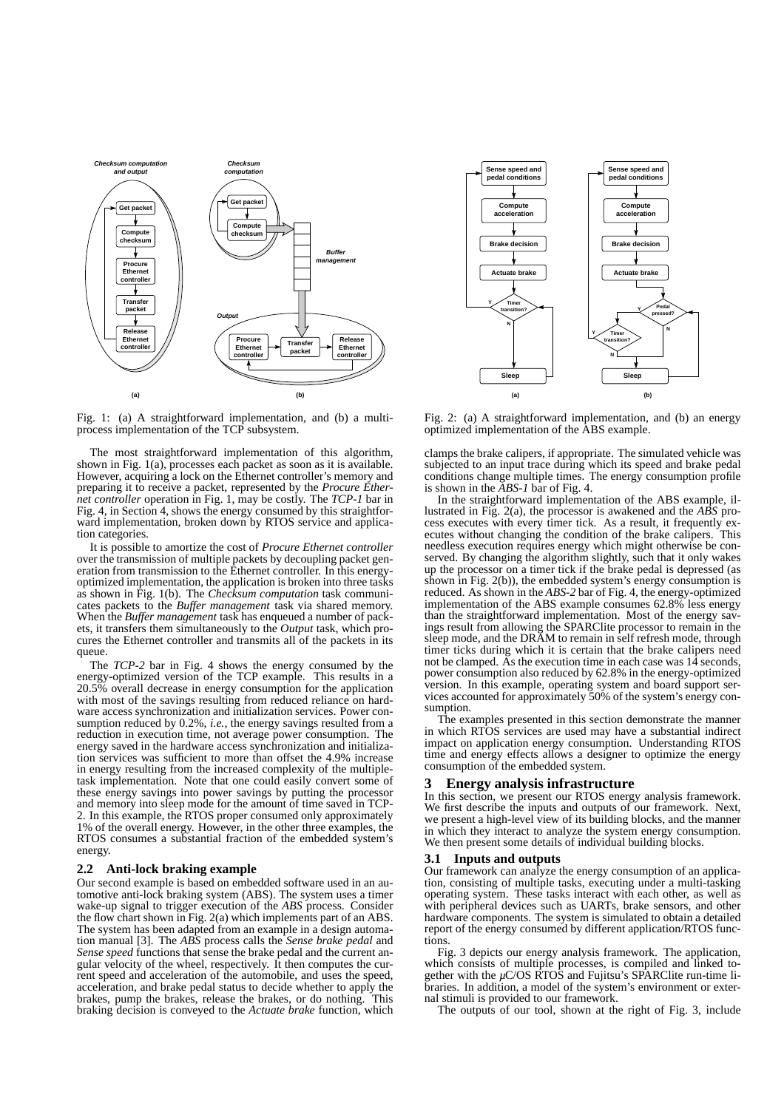

Fig. 1: (a) A straightforward implementation, and (b) a multiprocess implementation of the TCP subsystem.

The most straightforward implementation of this algorithm, shown in Fig. 1(a), processes each packet as soon as it is available. However, acquiring a lock on the Ethernet controller's memory and preparing it to receive a packet, represented by the *Procure Ethernet controller* operation in Fig. 1, may be costly. The *TCP-1* bar in Fig. 4, in Section 4, shows the energy consumed by this straightforward implementation, broken down by RTOS service and application categories.

It is possible to amortize the cost of *Procure Ethernet controller* over the transmission of multiple packets by decoupling packet generation from transmission to the Ethernet controller. In this energyoptimized implementation, the application is broken into three tasks as shown in Fig. 1(b). The *Checksum computation* task communicates packets to the *Buffer management* task via shared memory. When the *Buffer management* task has enqueued a number of packets, it transfers them simultaneously to the *Output* task, which procures the Ethernet controller and transmits all of the packets in its queue.

The *TCP-2* bar in Fig. 4 shows the energy consumed by the energy-optimized version of the TCP example. This results in a 20.5% overall decrease in energy consumption for the application with most of the savings resulting from reduced reliance on hardware access synchronization and initialization services. Power consumption reduced by 0.2%, *i.e.*, the energy savings resulted from a reduction in execution time, not average power consumption. The energy saved in the hardware access synchronization and initialization services was sufficient to more than offset the 4.9% increase in energy resulting from the increased complexity of the multipletask implementation. Note that one could easily convert some of these energy savings into power savings by putting the processor and memory into sleep mode for the amount of time saved in TCP-2. In this example, the RTOS proper consumed only approximately 1% of the overall energy. However, in the other three examples, the RTOS consumes a substantial fraction of the embedded system's energy.

#### **2.2 Anti-lock braking example**

Our second example is based on embedded software used in an automotive anti-lock braking system (ABS). The system uses a timer wake-up signal to trigger execution of the *ABS* process. Consider the flow chart shown in Fig. 2(a) which implements part of an ABS. The system has been adapted from an example in a design automation manual [3]. The *ABS* process calls the *Sense brake pedal* and *Sense speed* functions that sense the brake pedal and the current angular velocity of the wheel, respectively. It then computes the current speed and acceleration of the automobile, and uses the speed, acceleration, and brake pedal status to decide whether to apply the brakes, pump the brakes, release the brakes, or do nothing. This braking decision is conveyed to the *Actuate brake* function, which



Fig. 2: (a) A straightforward implementation, and (b) an energy optimized implementation of the ABS example.

clamps the brake calipers, if appropriate. The simulated vehicle was subjected to an input trace during which its speed and brake pedal conditions change multiple times. The energy consumption profile is shown in the *ABS-1* bar of Fig. 4.

In the straightforward implementation of the ABS example, illustrated in Fig. 2(a), the processor is awakened and the *ABS* process executes with every timer tick. As a result, it frequently executes without changing the condition of the brake calipers. This needless execution requires energy which might otherwise be conserved. By changing the algorithm slightly, such that it only wakes up the processor on a timer tick if the brake pedal is depressed (as shown in Fig. 2(b)), the embedded system's energy consumption is reduced. As shown in the *ABS-2* bar of Fig. 4, the energy-optimized implementation of the ABS example consumes 62.8% less energy than the straightforward implementation. Most of the energy savings result from allowing the SPARClite processor to remain in the sleep mode, and the DRAM to remain in self refresh mode, through timer ticks during which it is certain that the brake calipers need not be clamped. As the execution time in each case was  $14$  seconds, power consumption also reduced by 62.8% in the energy-optimized version. In this example, operating system and board support services accounted for approximately 50% of the system's energy consumption.

The examples presented in this section demonstrate the manner in which RTOS services are used may have a substantial indirect impact on application energy consumption. Understanding RTOS time and energy effects allows a designer to optimize the energy consumption of the embedded system.

# **3 Energy analysis infrastructure**

In this section, we present our RTOS energy analysis framework. We first describe the inputs and outputs of our framework. Next, we present a high-level view of its building blocks, and the manner in which they interact to analyze the system energy consumption. We then present some details of individual building blocks.

# **3.1 Inputs and outputs**

Our framework can analyze the energy consumption of an application, consisting of multiple tasks, executing under a multi-tasking operating system. These tasks interact with each other, as well as with peripheral devices such as UARTs, brake sensors, and other hardware components. The system is simulated to obtain a detailed report of the energy consumed by different application/RTOS functions.

Fig. 3 depicts our energy analysis framework. The application, which consists of multiple processes, is compiled and linked together with the  $\mu$ C/OS RTOS and Fujitsu's SPARClite run-time libraries. In addition, a model of the system's environment or external stimuli is provided to our framework.

The outputs of our tool, shown at the right of Fig. 3, include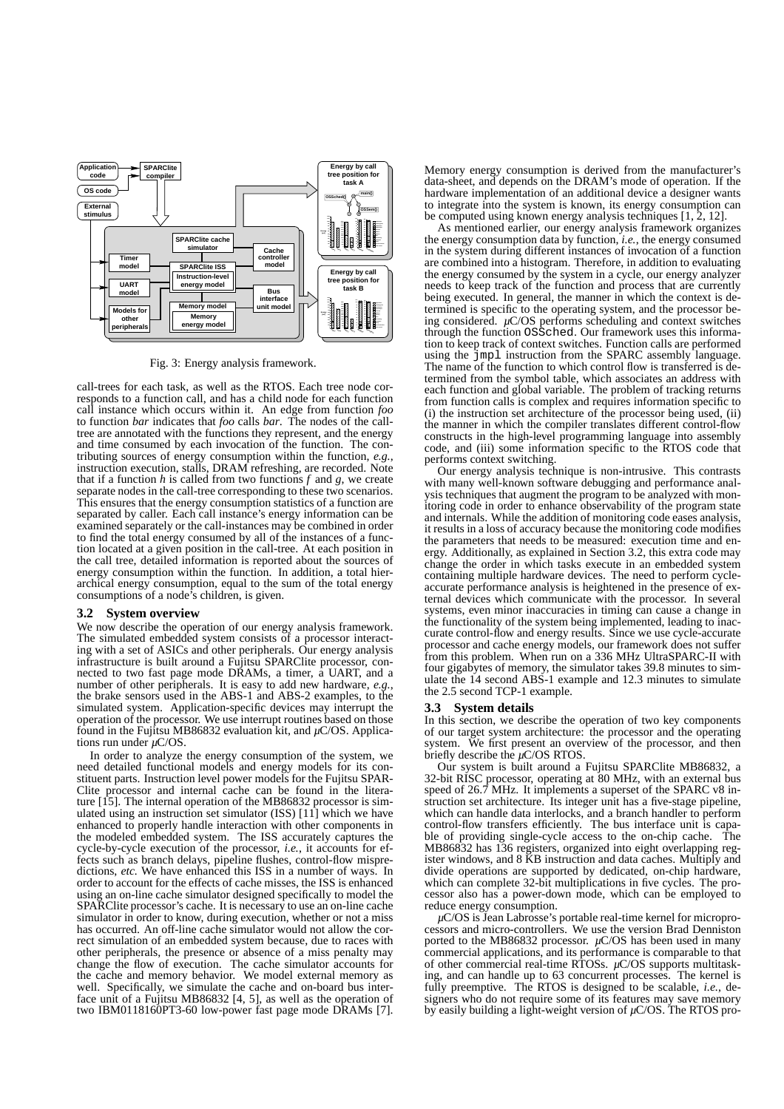

Fig. 3: Energy analysis framework.

call-trees for each task, as well as the RTOS. Each tree node corresponds to a function call, and has a child node for each function call instance which occurs within it. An edge from function *foo* to function *bar* indicates that *foo* calls *bar*. The nodes of the calltree are annotated with the functions they represent, and the energy and time consumed by each invocation of the function. The contributing sources of energy consumption within the function, *e.g.*, instruction execution, stalls, DRAM refreshing, are recorded. Note that if a function  $h$  is called from two functions  $f$  and  $g$ , we create separate nodes in the call-tree corresponding to these two scenarios. This ensures that the energy consumption statistics of a function are separated by caller. Each call instance's energy information can be examined separately or the call-instances may be combined in order to find the total energy consumed by all of the instances of a function located at a given position in the call-tree. At each position in the call tree, detailed information is reported about the sources of energy consumption within the function. In addition, a total hierarchical energy consumption, equal to the sum of the total energy consumptions of a node's children, is given.

#### **System overview**

We now describe the operation of our energy analysis framework. The simulated embedded system consists of a processor interacting with a set of ASICs and other peripherals. Our energy analysis infrastructure is built around a Fujitsu SPARClite processor, connected to two fast page mode DRAMs, a timer, a UART, and a number of other peripherals. It is easy to add new hardware, *e.g.*, the brake sensors used in the ABS-1 and ABS-2 examples, to the simulated system. Application-specific devices may interrupt the operation of the processor. We use interrupt routines based on those found in the Fujitsu MB86832 evaluation kit, and *µ*C/OS. Applications run under *µ*C/OS.

In order to analyze the energy consumption of the system, we need detailed functional models and energy models for its constituent parts. Instruction level power models for the Fujitsu SPAR-Clite processor and internal cache can be found in the literature  $[15]$ . The internal operation of the MB86832 processor is simulated using an instruction set simulator (ISS) [11] which we have enhanced to properly handle interaction with other components in the modeled embedded system. The ISS accurately captures the cycle-by-cycle execution of the processor, *i.e.*, it accounts for effects such as branch delays, pipeline flushes, control-flow mispredictions, *etc.* We have enhanced this ISS in a number of ways. In order to account for the effects of cache misses, the ISS is enhanced using an on-line cache simulator designed specifically to model the SPARClite processor's cache. It is necessary to use an on-line cache simulator in order to know, during execution, whether or not a miss has occurred. An off-line cache simulator would not allow the correct simulation of an embedded system because, due to races with other peripherals, the presence or absence of a miss penalty may change the flow of execution. The cache simulator accounts for the cache and memory behavior. We model external memory as well. Specifically, we simulate the cache and on-board bus interface unit of a Fujitsu MB86832 [4, 5], as well as the operation of two IBM0118160PT3-60 low-power fast page mode DRAMs [7]. Memory energy consumption is derived from the manufacturer's data-sheet, and depends on the DRAM's mode of operation. If the hardware implementation of an additional device a designer wants to integrate into the system is known, its energy consumption can be computed using known energy analysis techniques [1, 2, 12].

As mentioned earlier, our energy analysis framework organizes the energy consumption data by function, *i.e.*, the energy consumed in the system during different instances of invocation of a function are combined into a histogram. Therefore, in addition to evaluating the energy consumed by the system in a cycle, our energy analyzer needs to keep track of the function and process that are currently being executed. In general, the manner in which the context is determined is specific to the operating system, and the processor being considered. *µ*C/OS performs scheduling and context switches through the function OSSched. Our framework uses this information to keep track of context switches. Function calls are performed using the jmpl instruction from the SPARC assembly language. The name of the function to which control flow is transferred is determined from the symbol table, which associates an address with each function and global variable. The problem of tracking returns from function calls is complex and requires information specific to (i) the instruction set architecture of the processor being used, (ii) the manner in which the compiler translates different control-flow constructs in the high-level programming language into assembly code, and (iii) some information specific to the RTOS code that performs context switching.

Our energy analysis technique is non-intrusive. This contrasts with many well-known software debugging and performance analysis techniques that augment the program to be analyzed with monitoring code in order to enhance observability of the program state and internals. While the addition of monitoring code eases analysis, it results in a loss of accuracy because the monitoring code modifies the parameters that needs to be measured: execution time and energy. Additionally, as explained in Section 3.2, this extra code may change the order in which tasks execute in an embedded system containing multiple hardware devices. The need to perform cycleaccurate performance analysis is heightened in the presence of external devices which communicate with the processor. In several systems, even minor inaccuracies in timing can cause a change in the functionality of the system being implemented, leading to inaccurate control-flow and energy results. Since we use cycle-accurate processor and cache energy models, our framework does not suffer from this problem. When run on a 336 MHz UltraSPARC-II with four gigabytes of memory, the simulator takes 39.8 minutes to simulate the 14 second ABS-1 example and 12.3 minutes to simulate the 2.5 second TCP-1 example.

#### **3.3 System details**

In this section, we describe the operation of two key components of our target system architecture: the processor and the operating system. We first present an overview of the processor, and then briefly describe the *µ*C/OS RTOS.

Our system is built around a Fujitsu SPARClite MB86832, a 32-bit RISC processor, operating at 80 MHz, with an external bus speed of 26.7 MHz. It implements a superset of the SPARC v8 instruction set architecture. Its integer unit has a five-stage pipeline, which can handle data interlocks, and a branch handler to perform control-flow transfers efficiently. The bus interface unit is capable of providing single-cycle access to the on-chip cache. The MB86832 has 136 registers, organized into eight overlapping register windows, and 8 KB instruction and data caches. Multiply and divide operations are supported by dedicated, on-chip hardware, which can complete 32-bit multiplications in five cycles. The processor also has a power-down mode, which can be employed to reduce energy consumption.

*µ*C/OS is Jean Labrosse's portable real-time kernel for microprocessors and micro-controllers. We use the version Brad Denniston ported to the MB86832 processor. *µ*C/OS has been used in many commercial applications, and its performance is comparable to that of other commercial real-time RTOSs. *µ*C/OS supports multitasking, and can handle up to 63 concurrent processes. The kernel is fully preemptive. The RTOS is designed to be scalable, *i.e.*, designers who do not require some of its features may save memory by easily building a light-weight version of *µ*C/OS. The RTOS pro-